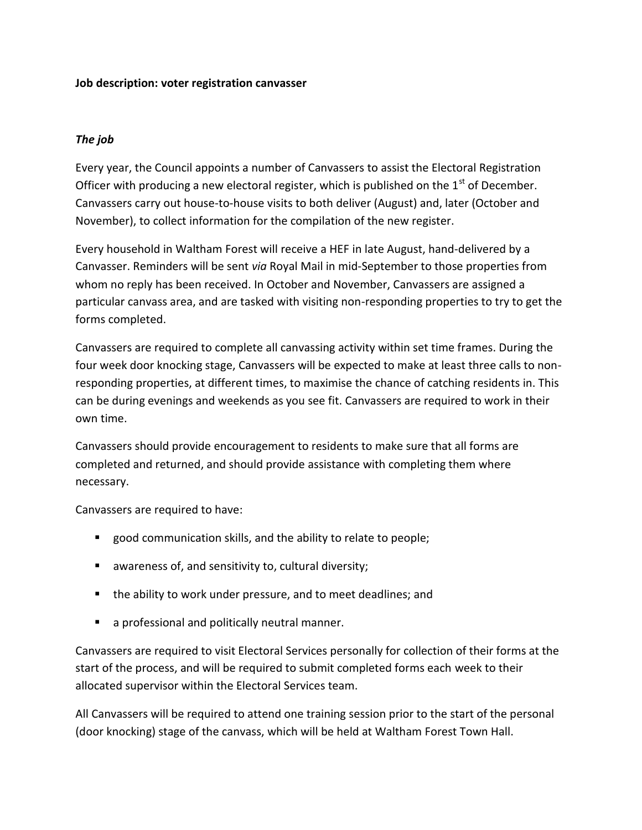### **Job description: voter registration canvasser**

# *The job*

Every year, the Council appoints a number of Canvassers to assist the Electoral Registration Officer with producing a new electoral register, which is published on the  $1<sup>st</sup>$  of December. Canvassers carry out house-to-house visits to both deliver (August) and, later (October and November), to collect information for the compilation of the new register.

Every household in Waltham Forest will receive a HEF in late August, hand-delivered by a Canvasser. Reminders will be sent *via* Royal Mail in mid-September to those properties from whom no reply has been received. In October and November, Canvassers are assigned a particular canvass area, and are tasked with visiting non-responding properties to try to get the forms completed.

Canvassers are required to complete all canvassing activity within set time frames. During the four week door knocking stage, Canvassers will be expected to make at least three calls to nonresponding properties, at different times, to maximise the chance of catching residents in. This can be during evenings and weekends as you see fit. Canvassers are required to work in their own time.

Canvassers should provide encouragement to residents to make sure that all forms are completed and returned, and should provide assistance with completing them where necessary.

Canvassers are required to have:

- **E** good communication skills, and the ability to relate to people;
- awareness of, and sensitivity to, cultural diversity;
- **the ability to work under pressure, and to meet deadlines; and**
- **a** a professional and politically neutral manner.

Canvassers are required to visit Electoral Services personally for collection of their forms at the start of the process, and will be required to submit completed forms each week to their allocated supervisor within the Electoral Services team.

All Canvassers will be required to attend one training session prior to the start of the personal (door knocking) stage of the canvass, which will be held at Waltham Forest Town Hall.